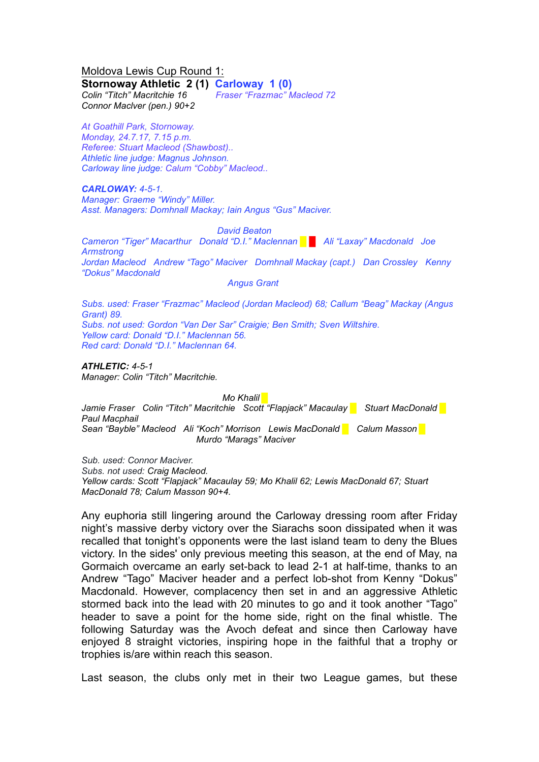Moldova Lewis Cup Round 1:

**Stornoway Athletic 2 (1) Carloway 1 (0)**

*Connor Maclver (pen.) 90+2*

*Colin "Titch" Macritchie 16 Fraser "Frazmac" Macleod 72*

*At Goathill Park, Stornoway. Monday, 24.7.17, 7.15 p.m. Referee: Stuart Macleod (Shawbost).. Athletic line judge: Magnus Johnson. Carloway line judge: Calum "Cobby" Macleod..*

*CARLOWAY: 4-5-1. Manager: Graeme "Windy" Miller. Asst. Managers: Domhnall Mackay; Iain Angus "Gus" Maciver.*

*David Beaton*

*Cameron "Tiger" Macarthur Donald "D.I." Maclennan* █ *█ Ali "Laxay" Macdonald Joe Armstrong Jordan Macleod Andrew "Tago" Maciver Domhnall Mackay (capt.) Dan Crossley Kenny "Dokus" Macdonald*

*Angus Grant*

*Subs. used: Fraser "Frazmac" Macleod (Jordan Macleod) 68; Callum "Beag" Mackay (Angus Grant) 89. Subs. not used: Gordon "Van Der Sar" Craigie; Ben Smith; Sven Wiltshire. Yellow card: Donald "D.I." Maclennan 56. Red card: Donald "D.I." Maclennan 64.*

*ATHLETIC: 4-5-1 Manager: Colin "Titch" Macritchie.*

*Mo Khalil* █

*Jamie Fraser Colin "Titch" Macritchie Scott "Flapjack" Macaulay* █ *Stuart MacDonald* █ *Paul Macphail Sean "Bayble" Macleod Ali "Koch" Morrison Lewis MacDonald* █ *Calum Masson* █ *Murdo "Marags" Maciver*

*Sub. used: Connor Maciver. Subs. not used: Craig Macleod. Yellow cards: Scott "Flapjack" Macaulay 59; Mo Khalil 62; Lewis MacDonald 67; Stuart MacDonald 78; Calum Masson 90+4.*

Any euphoria still lingering around the Carloway dressing room after Friday night's massive derby victory over the Siarachs soon dissipated when it was recalled that tonight's opponents were the last island team to deny the Blues victory. In the sides' only previous meeting this season, at the end of May, na Gormaich overcame an early set-back to lead 2-1 at half-time, thanks to an Andrew "Tago" Maciver header and a perfect lob-shot from Kenny "Dokus" Macdonald. However, complacency then set in and an aggressive Athletic stormed back into the lead with 20 minutes to go and it took another "Tago" header to save a point for the home side, right on the final whistle. The following Saturday was the Avoch defeat and since then Carloway have enjoyed 8 straight victories, inspiring hope in the faithful that a trophy or trophies is/are within reach this season.

Last season, the clubs only met in their two League games, but these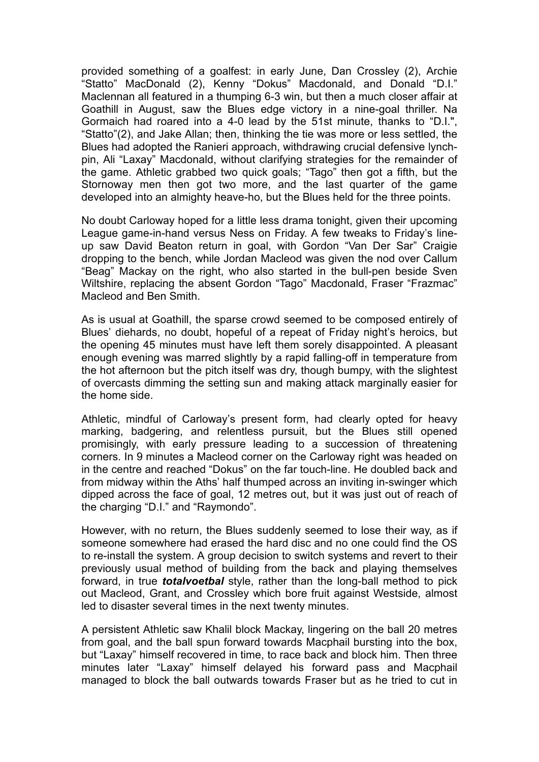provided something of a goalfest: in early June, Dan Crossley (2), Archie "Statto" MacDonald (2), Kenny "Dokus" Macdonald, and Donald "D.I." Maclennan all featured in a thumping 6-3 win, but then a much closer affair at Goathill in August, saw the Blues edge victory in a nine-goal thriller. Na Gormaich had roared into a 4-0 lead by the 51st minute, thanks to "D.I.", "Statto"(2), and Jake Allan; then, thinking the tie was more or less settled, the Blues had adopted the Ranieri approach, withdrawing crucial defensive lynchpin, Ali "Laxay" Macdonald, without clarifying strategies for the remainder of the game. Athletic grabbed two quick goals; "Tago" then got a fifth, but the Stornoway men then got two more, and the last quarter of the game developed into an almighty heave-ho, but the Blues held for the three points.

No doubt Carloway hoped for a little less drama tonight, given their upcoming League game-in-hand versus Ness on Friday. A few tweaks to Friday's lineup saw David Beaton return in goal, with Gordon "Van Der Sar" Craigie dropping to the bench, while Jordan Macleod was given the nod over Callum "Beag" Mackay on the right, who also started in the bull-pen beside Sven Wiltshire, replacing the absent Gordon "Tago" Macdonald, Fraser "Frazmac" Macleod and Ben Smith.

As is usual at Goathill, the sparse crowd seemed to be composed entirely of Blues' diehards, no doubt, hopeful of a repeat of Friday night's heroics, but the opening 45 minutes must have left them sorely disappointed. A pleasant enough evening was marred slightly by a rapid falling-off in temperature from the hot afternoon but the pitch itself was dry, though bumpy, with the slightest of overcasts dimming the setting sun and making attack marginally easier for the home side.

Athletic, mindful of Carloway's present form, had clearly opted for heavy marking, badgering, and relentless pursuit, but the Blues still opened promisingly, with early pressure leading to a succession of threatening corners. In 9 minutes a Macleod corner on the Carloway right was headed on in the centre and reached "Dokus" on the far touch-line. He doubled back and from midway within the Aths' half thumped across an inviting in-swinger which dipped across the face of goal, 12 metres out, but it was just out of reach of the charging "D.I." and "Raymondo".

However, with no return, the Blues suddenly seemed to lose their way, as if someone somewhere had erased the hard disc and no one could find the OS to re-install the system. A group decision to switch systems and revert to their previously usual method of building from the back and playing themselves forward, in true *totalvoetbal* style, rather than the long-ball method to pick out Macleod, Grant, and Crossley which bore fruit against Westside, almost led to disaster several times in the next twenty minutes.

A persistent Athletic saw Khalil block Mackay, lingering on the ball 20 metres from goal, and the ball spun forward towards Macphail bursting into the box, but "Laxay" himself recovered in time, to race back and block him. Then three minutes later "Laxay" himself delayed his forward pass and Macphail managed to block the ball outwards towards Fraser but as he tried to cut in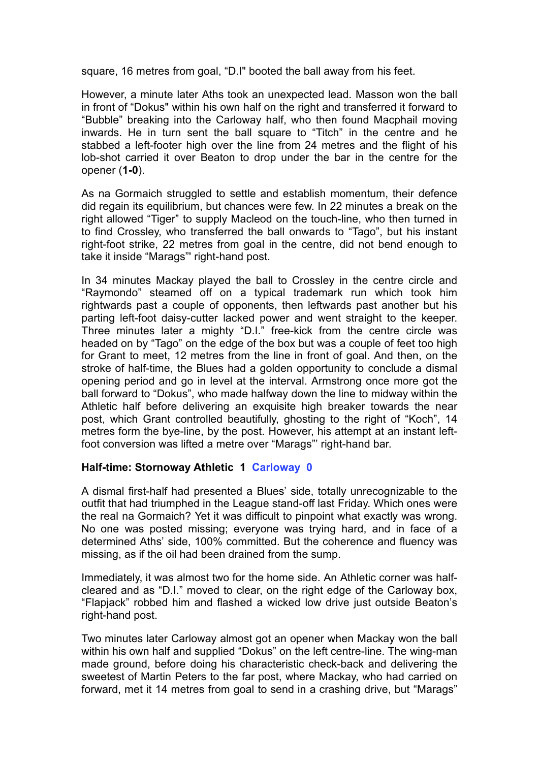square, 16 metres from goal, "D.I" booted the ball away from his feet.

However, a minute later Aths took an unexpected lead. Masson won the ball in front of "Dokus" within his own half on the right and transferred it forward to "Bubble" breaking into the Carloway half, who then found Macphail moving inwards. He in turn sent the ball square to "Titch" in the centre and he stabbed a left-footer high over the line from 24 metres and the flight of his lob-shot carried it over Beaton to drop under the bar in the centre for the opener (**1-0**).

As na Gormaich struggled to settle and establish momentum, their defence did regain its equilibrium, but chances were few. In 22 minutes a break on the right allowed "Tiger" to supply Macleod on the touch-line, who then turned in to find Crossley, who transferred the ball onwards to "Tago", but his instant right-foot strike, 22 metres from goal in the centre, did not bend enough to take it inside "Marags"' right-hand post.

In 34 minutes Mackay played the ball to Crossley in the centre circle and "Raymondo" steamed off on a typical trademark run which took him rightwards past a couple of opponents, then leftwards past another but his parting left-foot daisy-cutter lacked power and went straight to the keeper. Three minutes later a mighty "D.I." free-kick from the centre circle was headed on by "Tago" on the edge of the box but was a couple of feet too high for Grant to meet, 12 metres from the line in front of goal. And then, on the stroke of half-time, the Blues had a golden opportunity to conclude a dismal opening period and go in level at the interval. Armstrong once more got the ball forward to "Dokus", who made halfway down the line to midway within the Athletic half before delivering an exquisite high breaker towards the near post, which Grant controlled beautifully, ghosting to the right of "Koch", 14 metres form the bye-line, by the post. However, his attempt at an instant leftfoot conversion was lifted a metre over "Marags"' right-hand bar.

## **Half-time: Stornoway Athletic 1 Carloway 0**

A dismal first-half had presented a Blues' side, totally unrecognizable to the outfit that had triumphed in the League stand-off last Friday. Which ones were the real na Gormaich? Yet it was difficult to pinpoint what exactly was wrong. No one was posted missing; everyone was trying hard, and in face of a determined Aths' side, 100% committed. But the coherence and fluency was missing, as if the oil had been drained from the sump.

Immediately, it was almost two for the home side. An Athletic corner was halfcleared and as "D.I." moved to clear, on the right edge of the Carloway box, "Flapjack" robbed him and flashed a wicked low drive just outside Beaton's right-hand post.

Two minutes later Carloway almost got an opener when Mackay won the ball within his own half and supplied "Dokus" on the left centre-line. The wing-man made ground, before doing his characteristic check-back and delivering the sweetest of Martin Peters to the far post, where Mackay, who had carried on forward, met it 14 metres from goal to send in a crashing drive, but "Marags"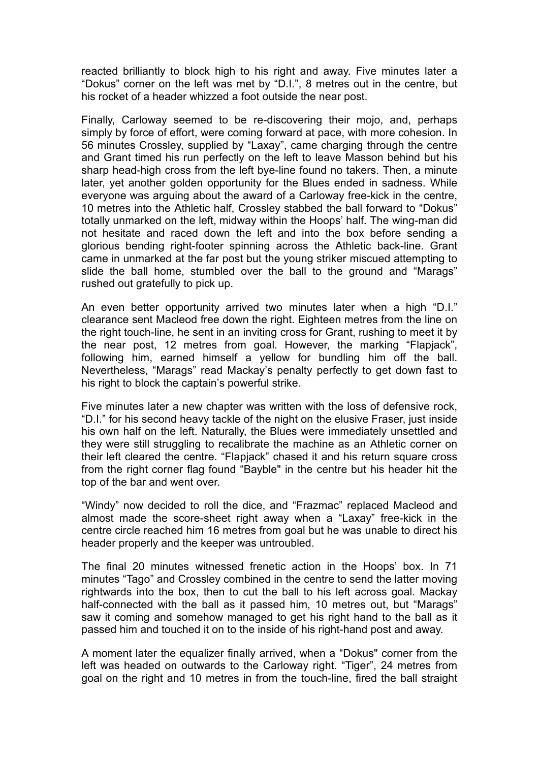reacted brilliantly to block high to his right and away. Five minutes later a "Dokus" corner on the left was met by "D.I.", 8 metres out in the centre, but his rocket of a header whizzed a foot outside the near post.

Finally, Carloway seemed to be re-discovering their mojo, and, perhaps simply by force of effort, were coming forward at pace, with more cohesion. In 56 minutes Crossley, supplied by "Laxay", came charging through the centre and Grant timed his run perfectly on the left to leave Masson behind but his sharp head-high cross from the left bye-line found no takers. Then, a minute later, yet another golden opportunity for the Blues ended in sadness. While everyone was arguing about the award of a Carloway free-kick in the centre, 10 metres into the Athletic half, Crossley stabbed the ball forward to "Dokus" totally unmarked on the left, midway within the Hoops' half. The wing-man did not hesitate and raced down the left and into the box before sending a glorious bending right-footer spinning across the Athletic back-line. Grant came in unmarked at the far post but the young striker miscued attempting to slide the ball home, stumbled over the ball to the ground and "Marags" rushed out gratefully to pick up.

An even better opportunity arrived two minutes later when a high "D.I." clearance sent Macleod free down the right. Eighteen metres from the line on the right touch-line, he sent in an inviting cross for Grant, rushing to meet it by the near post, 12 metres from goal. However, the marking "Flapjack", following him, earned himself a yellow for bundling him off the ball. Nevertheless, "Marags" read Mackay's penalty perfectly to get down fast to his right to block the captain's powerful strike.

Five minutes later a new chapter was written with the loss of defensive rock, "D.I." for his second heavy tackle of the night on the elusive Fraser, just inside his own half on the left. Naturally, the Blues were immediately unsettled and they were still struggling to recalibrate the machine as an Athletic corner on their left cleared the centre. "Flapjack" chased it and his return square cross from the right corner flag found "Bayble" in the centre but his header hit the top of the bar and went over.

"Windy" now decided to roll the dice, and "Frazmac" replaced Macleod and almost made the score-sheet right away when a "Laxay" free-kick in the centre circle reached him 16 metres from goal but he was unable to direct his header properly and the keeper was untroubled.

The final 20 minutes witnessed frenetic action in the Hoops' box. In 71 minutes "Tago" and Crossley combined in the centre to send the latter moving rightwards into the box, then to cut the ball to his left across goal. Mackay half-connected with the ball as it passed him, 10 metres out, but "Marags" saw it coming and somehow managed to get his right hand to the ball as it passed him and touched it on to the inside of his right-hand post and away.

A moment later the equalizer finally arrived, when a "Dokus" corner from the left was headed on outwards to the Carloway right. "Tiger", 24 metres from goal on the right and 10 metres in from the touch-line, fired the ball straight